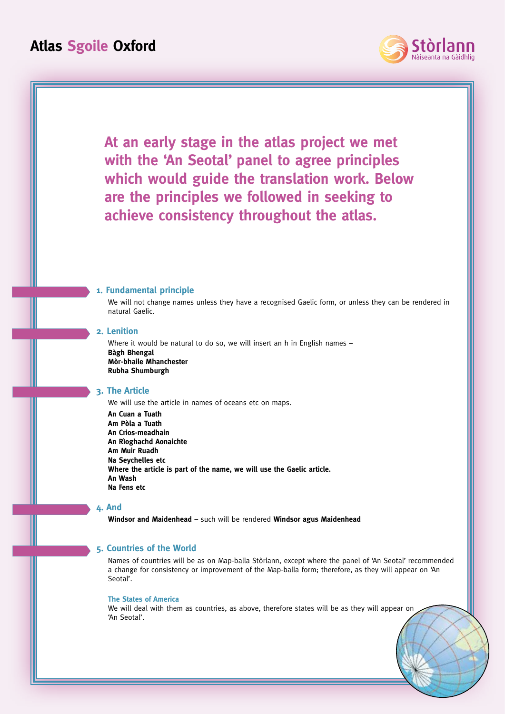

**At an early stage in the atlas project we met with the 'An Seotal' panel to agree principles which would guide the translation work. Below are the principles we followed in seeking to achieve consistency throughout the atlas.**

### **1. Fundamental principle**

We will not change names unless they have a recognised Gaelic form, or unless they can be rendered in natural Gaelic.

## **2. Lenition**

Where it would be natural to do so, we will insert an h in English names -**Bàgh Bhengal Mòr-bhaile Mhanchester Rubha Shumburgh**

## **3. The Article**

We will use the article in names of oceans etc on maps.

**An Cuan a Tuath Am Pòla a Tuath An Crios-meadhain An Rìoghachd Aonaichte Am Muir Ruadh Na Seychelles etc Where the article is part of the name, we will use the Gaelic article. An Wash Na Fens etc**

## **4. And**

**Windsor and Maidenhead** – such will be rendered **Windsor agus Maidenhead**

## **5. Countries of the World**

Names of countries will be as on Map-balla Stòrlann, except where the panel of 'An Seotal' recommended a change for consistency or improvement of the Map-balla form; therefore, as they will appear on 'An Seotal'.

#### **The States of America**

We will deal with them as countries, as above, therefore states will be as they will appear on 'An Seotal'.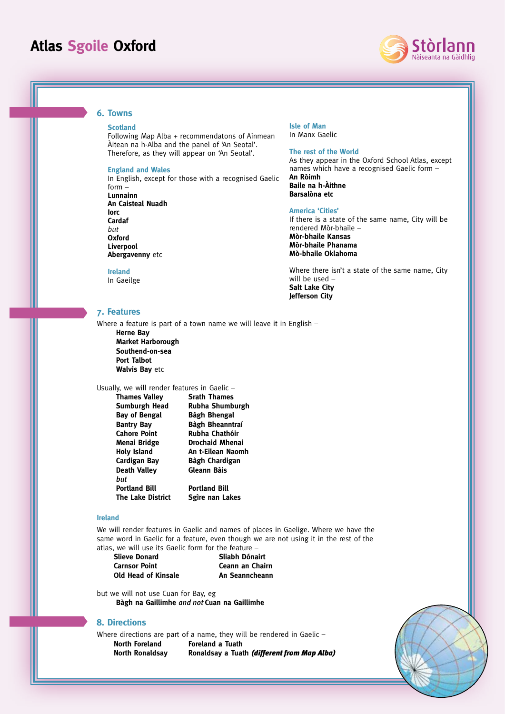

### **6. Towns**

#### **Scotland**

Following Map Alba + recommendatons of Ainmean Àitean na h-Alba and the panel of 'An Seotal'. Therefore, as they will appear on 'An Seotal'.

#### **England and Wales**

In English, except for those with a recognised Gaelic form – **Lunnainn An Caisteal Nuadh Iorc Cardaf**  *but* **Oxford**

**Ireland** In Gaeilge

**Liverpool Abergavenny** etc

#### **Isle of Man** In Manx Gaelic

**The rest of the World**

As they appear in the Oxford School Atlas, except names which have a recognised Gaelic form – **An Ròimh Baile na h-Àithne Barsalòna etc**

#### **America 'Cities'**

If there is a state of the same name, City will be rendered Mòr-bhaile – **Mòr-bhaile Kansas Mòr-bhaile Phanama Mò-bhaile Oklahoma**

Where there isn't a state of the same name, City will be used – **Salt Lake City Jefferson City**

## **7. Features**

Where a feature is part of a town name we will leave it in English – **Herne Bay Market Harborough Southend-on-sea Port Talbot Walvis Bay** etc

## Usually, we will render features in Gaelic –

| <b>Thames Valley</b>     | <b>Srath Thames</b>  |
|--------------------------|----------------------|
| Sumburgh Head            | Rubha Shumburgh      |
| Bay of Bengal            | Bàgh Bhengal         |
| <b>Bantry Bay</b>        | Bàgh Bheanntraí      |
| <b>Cahore Point</b>      | Rubha Chathóir       |
| Menai Bridge             | Drochaid Mhenai      |
| <b>Holy Island</b>       | An t-Eilean Naomh    |
| Cardigan Bay             | Bàgh Chardigan       |
| <b>Death Valley</b>      | Gleann Bàis          |
| hut                      |                      |
| <b>Portland Bill</b>     | <b>Portland Bill</b> |
| <b>The Lake District</b> | Sgire nan Lakes      |

### **Ireland**

We will render features in Gaelic and names of places in Gaelige. Where we have the same word in Gaelic for a feature, even though we are not using it in the rest of the atlas, we will use its Gaelic form for the feature –

**Slieve Donard Sliabh Dónairt Carnsor Point Ceann an Chairn Old Head of Kinsale An Seanncheann** 

but we will not use Cuan for Bay, eg **Bàgh na Gaillimhe** *and not* **Cuan na Gaillimhe**

### **8. Directions**

Where directions are part of a name, they will be rendered in Gaelic -

**North Foreland Foreland a Tuath** 

**North Ronaldsay Ronaldsay a Tuath** *(different from Map Alba)*

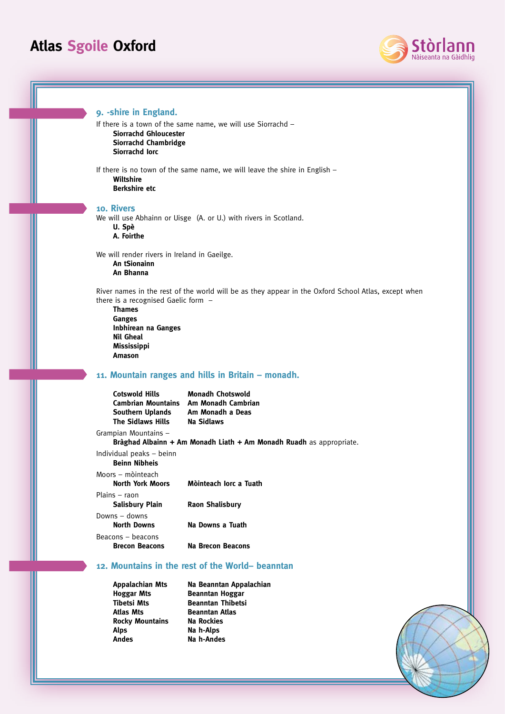

**9. -shire in England.**  If there is a town of the same name, we will use Siorrachd – **Siorrachd Ghloucester Siorrachd Chambridge Siorrachd Iorc** If there is no town of the same name, we will leave the shire in English – **Wiltshire Berkshire etc 10. Rivers** We will use Abhainn or Uisge (A. or U.) with rivers in Scotland. **U. Spè A. Foirthe** We will render rivers in Ireland in Gaeilge. **An tSionainn An Bhanna** River names in the rest of the world will be as they appear in the Oxford School Atlas, except when there is a recognised Gaelic form – **Thames Ganges Inbhirean na Ganges Nìl Gheal Mississippi Amason 11. Mountain ranges and hills in Britain – monadh. Cotswold Hills Monadh Chotswold Cambrian Mountains Am Monadh Cambrian Southern Uplands Am Monadh a Deas The Sidlaws Hills** Grampian Mountains – **Bràghad Albainn + Am Monadh Liath + Am Monadh Ruadh** as appropriate. Individual peaks – beinn **Beinn Nibheis** Moors – mòinteach **North York Moors Mòinteach Iorc a Tuath** Plains – raon **Salisbury Plain Raon Shalisbury** Downs – downs **North Downs Na Downs a Tuath** Beacons – beacons **Brecon Beacons Na Brecon Beacons 12. Mountains in the rest of the World– beanntan** 

**Atlas Mts Beanntan Atlas Rocky Mountains Na Rockies** Alps **Na h-Alps** Andes Na h-Andes

**Appalachian Mts Na Beanntan Appalachian Hoggar Mts** Beanntan Hoggar<br>Tibetsi Mts Beanntan Thibetsi **Beanntan Thibetsi**